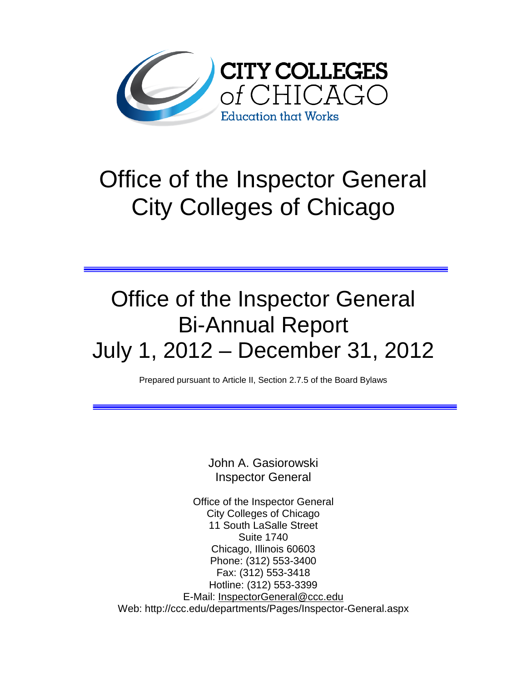

# Office of the Inspector General City Colleges of Chicago

# Office of the Inspector General Bi-Annual Report July 1, 2012 – December 31, 2012

Prepared pursuant to Article II, Section 2.7.5 of the Board Bylaws

John A. Gasiorowski Inspector General

Office of the Inspector General City Colleges of Chicago 11 South LaSalle Street Suite 1740 Chicago, Illinois 60603 Phone: (312) 553-3400 Fax: (312) 553-3418 Hotline: (312) 553-3399 E-Mail: [InspectorGeneral@ccc.edu](mailto:InspectorGeneral@ccc.edu) Web: http://ccc.edu/departments/Pages/Inspector-General.aspx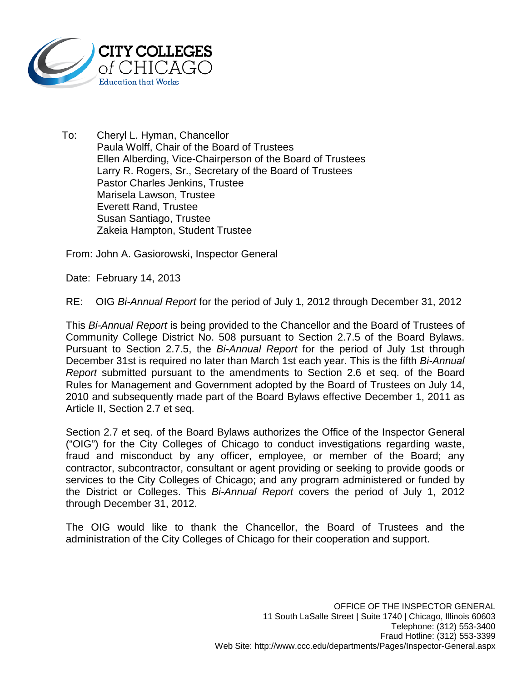

To: Cheryl L. Hyman, Chancellor Paula Wolff, Chair of the Board of Trustees Ellen Alberding, Vice-Chairperson of the Board of Trustees Larry R. Rogers, Sr., Secretary of the Board of Trustees Pastor Charles Jenkins, Trustee Marisela Lawson, Trustee Everett Rand, Trustee Susan Santiago, Trustee Zakeia Hampton, Student Trustee

From: John A. Gasiorowski, Inspector General

Date: February 14, 2013

RE: OIG *Bi-Annual Report* for the period of July 1, 2012 through December 31, 2012

This *Bi-Annual Report* is being provided to the Chancellor and the Board of Trustees of Community College District No. 508 pursuant to Section 2.7.5 of the Board Bylaws. Pursuant to Section 2.7.5, the *Bi-Annual Report* for the period of July 1st through December 31st is required no later than March 1st each year. This is the fifth *Bi-Annual Report* submitted pursuant to the amendments to Section 2.6 et seq. of the Board Rules for Management and Government adopted by the Board of Trustees on July 14, 2010 and subsequently made part of the Board Bylaws effective December 1, 2011 as Article II, Section 2.7 et seq.

Section 2.7 et seq. of the Board Bylaws authorizes the Office of the Inspector General ("OIG") for the City Colleges of Chicago to conduct investigations regarding waste, fraud and misconduct by any officer, employee, or member of the Board; any contractor, subcontractor, consultant or agent providing or seeking to provide goods or services to the City Colleges of Chicago; and any program administered or funded by the District or Colleges. This *Bi-Annual Report* covers the period of July 1, 2012 through December 31, 2012.

The OIG would like to thank the Chancellor, the Board of Trustees and the administration of the City Colleges of Chicago for their cooperation and support.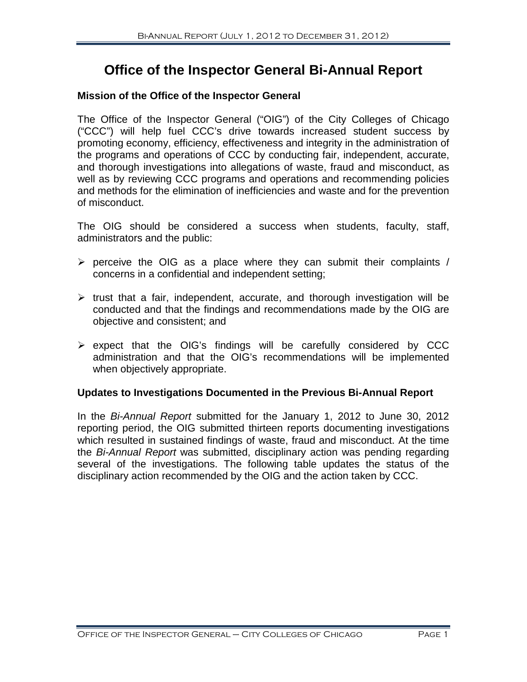# **Office of the Inspector General Bi-Annual Report**

#### **Mission of the Office of the Inspector General**

The Office of the Inspector General ("OIG") of the City Colleges of Chicago ("CCC") will help fuel CCC's drive towards increased student success by promoting economy, efficiency, effectiveness and integrity in the administration of the programs and operations of CCC by conducting fair, independent, accurate, and thorough investigations into allegations of waste, fraud and misconduct, as well as by reviewing CCC programs and operations and recommending policies and methods for the elimination of inefficiencies and waste and for the prevention of misconduct.

The OIG should be considered a success when students, faculty, staff, administrators and the public:

- $\triangleright$  perceive the OIG as a place where they can submit their complaints / concerns in a confidential and independent setting;
- $\triangleright$  trust that a fair, independent, accurate, and thorough investigation will be conducted and that the findings and recommendations made by the OIG are objective and consistent; and
- $\triangleright$  expect that the OIG's findings will be carefully considered by CCC administration and that the OIG's recommendations will be implemented when objectively appropriate.

#### **Updates to Investigations Documented in the Previous Bi-Annual Report**

In the *Bi-Annual Report* submitted for the January 1, 2012 to June 30, 2012 reporting period, the OIG submitted thirteen reports documenting investigations which resulted in sustained findings of waste, fraud and misconduct. At the time the *Bi-Annual Report* was submitted, disciplinary action was pending regarding several of the investigations. The following table updates the status of the disciplinary action recommended by the OIG and the action taken by CCC.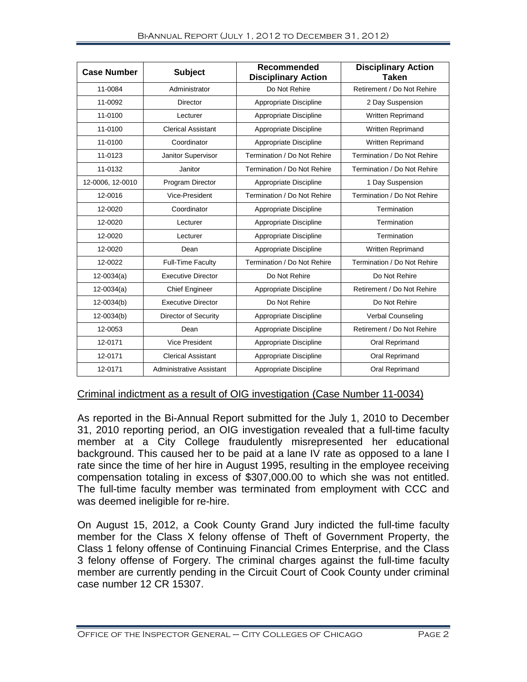| <b>Case Number</b> | <b>Subject</b>              | <b>Recommended</b><br><b>Disciplinary Action</b> | <b>Disciplinary Action</b><br>Taken |
|--------------------|-----------------------------|--------------------------------------------------|-------------------------------------|
| 11-0084            | Administrator               | Do Not Rehire                                    | Retirement / Do Not Rehire          |
| 11-0092            | <b>Director</b>             | Appropriate Discipline                           | 2 Day Suspension                    |
| 11-0100            | Lecturer                    | Appropriate Discipline                           | Written Reprimand                   |
| 11-0100            | <b>Clerical Assistant</b>   | Appropriate Discipline                           | <b>Written Reprimand</b>            |
| 11-0100            | Coordinator                 | Appropriate Discipline                           | Written Reprimand                   |
| 11-0123            | Janitor Supervisor          | Termination / Do Not Rehire                      | Termination / Do Not Rehire         |
| 11-0132            | Janitor                     | Termination / Do Not Rehire                      | Termination / Do Not Rehire         |
| 12-0006, 12-0010   | Program Director            | Appropriate Discipline                           | 1 Day Suspension                    |
| 12-0016            | Vice-President              | Termination / Do Not Rehire                      | Termination / Do Not Rehire         |
| 12-0020            | Coordinator                 | Appropriate Discipline                           | Termination                         |
| 12-0020            | Lecturer                    | Appropriate Discipline                           | Termination                         |
| 12-0020            | Lecturer                    | Appropriate Discipline                           | Termination                         |
| 12-0020            | Dean                        | Appropriate Discipline                           | Written Reprimand                   |
| 12-0022            | <b>Full-Time Faculty</b>    | Termination / Do Not Rehire                      | Termination / Do Not Rehire         |
| $12 - 0034(a)$     | <b>Executive Director</b>   | Do Not Rehire                                    | Do Not Rehire                       |
| $12 - 0034(a)$     | <b>Chief Engineer</b>       | Appropriate Discipline                           | Retirement / Do Not Rehire          |
| 12-0034(b)         | <b>Executive Director</b>   | Do Not Rehire                                    | Do Not Rehire                       |
| $12 - 0034(b)$     | <b>Director of Security</b> | Appropriate Discipline                           | Verbal Counseling                   |
| 12-0053            | Dean                        | Appropriate Discipline                           | Retirement / Do Not Rehire          |
| 12-0171            | <b>Vice President</b>       | Appropriate Discipline                           | Oral Reprimand                      |
| 12-0171            | <b>Clerical Assistant</b>   | Appropriate Discipline                           | Oral Reprimand                      |
| 12-0171            | Administrative Assistant    | Appropriate Discipline                           | Oral Reprimand                      |

#### Criminal indictment as a result of OIG investigation (Case Number 11-0034)

As reported in the Bi-Annual Report submitted for the July 1, 2010 to December 31, 2010 reporting period, an OIG investigation revealed that a full-time faculty member at a City College fraudulently misrepresented her educational background. This caused her to be paid at a lane IV rate as opposed to a lane I rate since the time of her hire in August 1995, resulting in the employee receiving compensation totaling in excess of \$307,000.00 to which she was not entitled. The full-time faculty member was terminated from employment with CCC and was deemed ineligible for re-hire.

On August 15, 2012, a Cook County Grand Jury indicted the full-time faculty member for the Class X felony offense of Theft of Government Property, the Class 1 felony offense of Continuing Financial Crimes Enterprise, and the Class 3 felony offense of Forgery. The criminal charges against the full-time faculty member are currently pending in the Circuit Court of Cook County under criminal case number 12 CR 15307.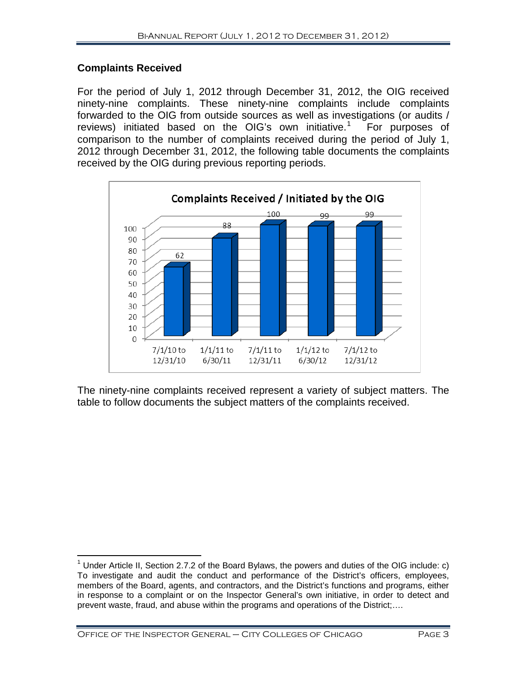# **Complaints Received**

For the period of July 1, 2012 through December 31, 2012, the OIG received ninety-nine complaints. These ninety-nine complaints include complaints forwarded to the OIG from outside sources as well as investigations (or audits / reviews) initiated based on the OIG's own initiative.<sup>1</sup> For purposes of comparison to the number of complaints received during the period of July 1, 2012 through December 31, 2012, the following table documents the complaints received by the OIG during previous reporting periods.



The ninety-nine complaints received represent a variety of subject matters. The table to follow documents the subject matters of the complaints received.

<span id="page-4-0"></span><sup>&</sup>lt;sup>1</sup> Under Article II, Section 2.7.2 of the Board Bylaws, the powers and duties of the OIG include: c) To investigate and audit the conduct and performance of the District's officers, employees, members of the Board, agents, and contractors, and the District's functions and programs, either in response to a complaint or on the Inspector General's own initiative, in order to detect and prevent waste, fraud, and abuse within the programs and operations of the District;….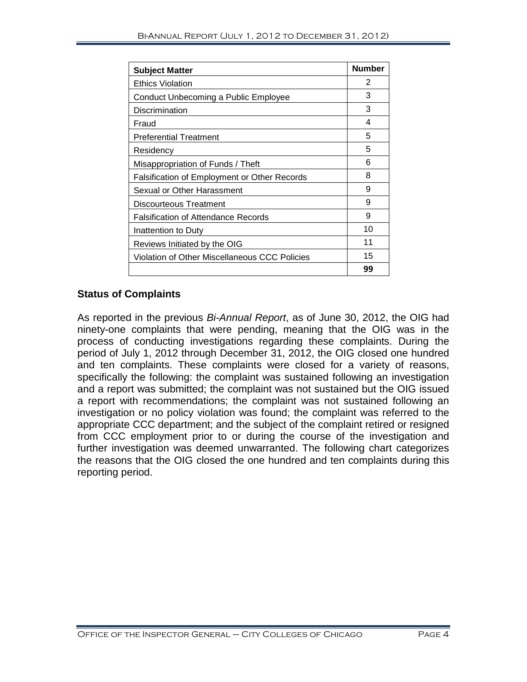| <b>Subject Matter</b>                         | <b>Number</b> |
|-----------------------------------------------|---------------|
| <b>Ethics Violation</b>                       | 2             |
| Conduct Unbecoming a Public Employee          | 3             |
| Discrimination                                | 3             |
| Fraud                                         | 4             |
| <b>Preferential Treatment</b>                 | 5             |
| Residency                                     | 5             |
| Misappropriation of Funds / Theft             | 6             |
| Falsification of Employment or Other Records  | 8             |
| Sexual or Other Harassment                    | 9             |
| Discourteous Treatment                        | 9             |
| <b>Falsification of Attendance Records</b>    | 9             |
| Inattention to Duty                           | 10            |
| Reviews Initiated by the OIG                  | 11            |
| Violation of Other Miscellaneous CCC Policies | 15            |
|                                               | 99            |

### **Status of Complaints**

As reported in the previous *Bi-Annual Report*, as of June 30, 2012, the OIG had ninety-one complaints that were pending, meaning that the OIG was in the process of conducting investigations regarding these complaints. During the period of July 1, 2012 through December 31, 2012, the OIG closed one hundred and ten complaints. These complaints were closed for a variety of reasons, specifically the following: the complaint was sustained following an investigation and a report was submitted; the complaint was not sustained but the OIG issued a report with recommendations; the complaint was not sustained following an investigation or no policy violation was found; the complaint was referred to the appropriate CCC department; and the subject of the complaint retired or resigned from CCC employment prior to or during the course of the investigation and further investigation was deemed unwarranted. The following chart categorizes the reasons that the OIG closed the one hundred and ten complaints during this reporting period.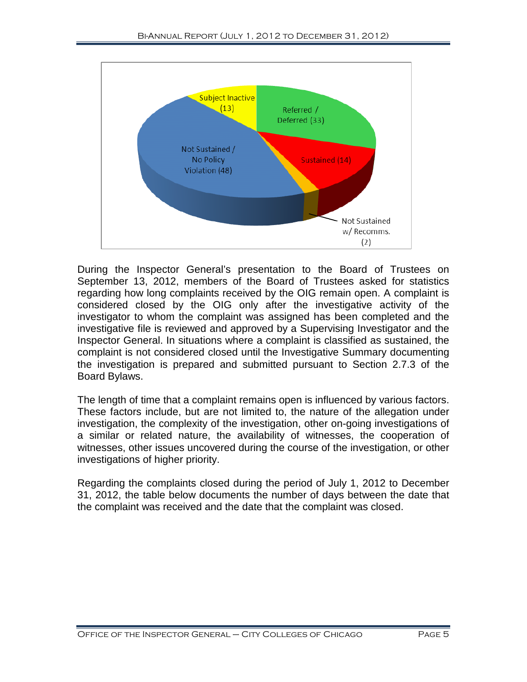

During the Inspector General's presentation to the Board of Trustees on September 13, 2012, members of the Board of Trustees asked for statistics regarding how long complaints received by the OIG remain open. A complaint is considered closed by the OIG only after the investigative activity of the investigator to whom the complaint was assigned has been completed and the investigative file is reviewed and approved by a Supervising Investigator and the Inspector General. In situations where a complaint is classified as sustained, the complaint is not considered closed until the Investigative Summary documenting the investigation is prepared and submitted pursuant to Section 2.7.3 of the Board Bylaws.

The length of time that a complaint remains open is influenced by various factors. These factors include, but are not limited to, the nature of the allegation under investigation, the complexity of the investigation, other on-going investigations of a similar or related nature, the availability of witnesses, the cooperation of witnesses, other issues uncovered during the course of the investigation, or other investigations of higher priority.

Regarding the complaints closed during the period of July 1, 2012 to December 31, 2012, the table below documents the number of days between the date that the complaint was received and the date that the complaint was closed.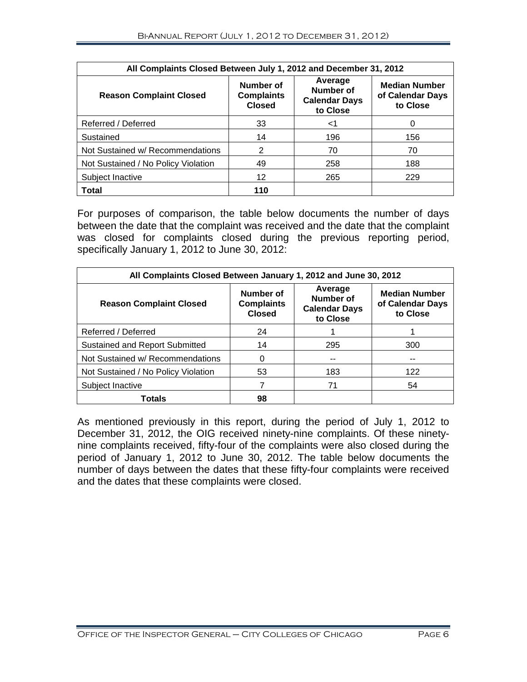| All Complaints Closed Between July 1, 2012 and December 31, 2012 |                                                 |                                                          |                                                      |  |  |
|------------------------------------------------------------------|-------------------------------------------------|----------------------------------------------------------|------------------------------------------------------|--|--|
| <b>Reason Complaint Closed</b>                                   | Number of<br><b>Complaints</b><br><b>Closed</b> | Average<br>Number of<br><b>Calendar Days</b><br>to Close | <b>Median Number</b><br>of Calendar Days<br>to Close |  |  |
| Referred / Deferred                                              | 33                                              | ا>                                                       | 0                                                    |  |  |
| Sustained                                                        | 14                                              | 196                                                      | 156                                                  |  |  |
| Not Sustained w/ Recommendations                                 | 2                                               | 70                                                       | 70                                                   |  |  |
| Not Sustained / No Policy Violation                              | 49                                              | 258                                                      | 188                                                  |  |  |
| Subject Inactive                                                 | 12                                              | 265                                                      | 229                                                  |  |  |
| Total                                                            | 110                                             |                                                          |                                                      |  |  |

For purposes of comparison, the table below documents the number of days between the date that the complaint was received and the date that the complaint was closed for complaints closed during the previous reporting period, specifically January 1, 2012 to June 30, 2012:

| All Complaints Closed Between January 1, 2012 and June 30, 2012 |                                                 |                                                          |                                                      |  |  |
|-----------------------------------------------------------------|-------------------------------------------------|----------------------------------------------------------|------------------------------------------------------|--|--|
| <b>Reason Complaint Closed</b>                                  | Number of<br><b>Complaints</b><br><b>Closed</b> | Average<br>Number of<br><b>Calendar Days</b><br>to Close | <b>Median Number</b><br>of Calendar Days<br>to Close |  |  |
| Referred / Deferred                                             | 24                                              |                                                          |                                                      |  |  |
| Sustained and Report Submitted                                  | 14                                              | 295                                                      | 300                                                  |  |  |
| Not Sustained w/ Recommendations                                | 0                                               | --                                                       | --                                                   |  |  |
| Not Sustained / No Policy Violation                             | 53                                              | 183                                                      | 122                                                  |  |  |
| Subject Inactive                                                |                                                 | 71                                                       | 54                                                   |  |  |
| Totals                                                          | 98                                              |                                                          |                                                      |  |  |

As mentioned previously in this report, during the period of July 1, 2012 to December 31, 2012, the OIG received ninety-nine complaints. Of these ninetynine complaints received, fifty-four of the complaints were also closed during the period of January 1, 2012 to June 30, 2012. The table below documents the number of days between the dates that these fifty-four complaints were received and the dates that these complaints were closed.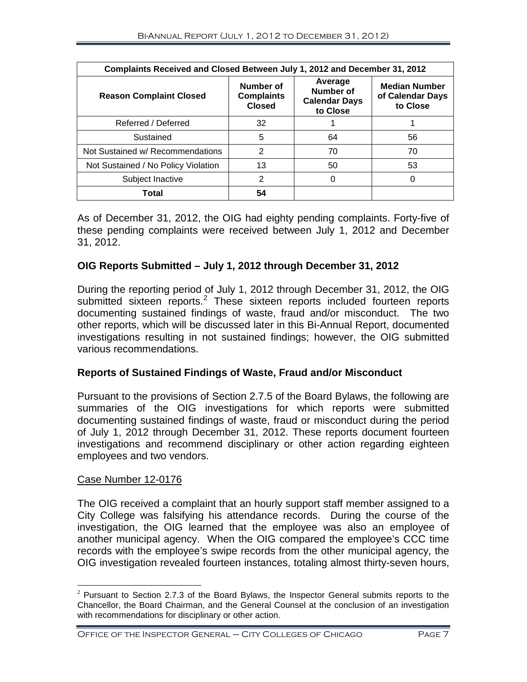| Complaints Received and Closed Between July 1, 2012 and December 31, 2012 |                                                 |                                                          |                                                      |  |
|---------------------------------------------------------------------------|-------------------------------------------------|----------------------------------------------------------|------------------------------------------------------|--|
| <b>Reason Complaint Closed</b>                                            | Number of<br><b>Complaints</b><br><b>Closed</b> | Average<br>Number of<br><b>Calendar Days</b><br>to Close | <b>Median Number</b><br>of Calendar Days<br>to Close |  |
| Referred / Deferred                                                       | 32                                              |                                                          |                                                      |  |
| Sustained                                                                 | 5                                               | 64                                                       | 56                                                   |  |
| Not Sustained w/ Recommendations                                          | $\overline{2}$                                  | 70                                                       | 70                                                   |  |
| Not Sustained / No Policy Violation                                       | 13                                              | 50                                                       | 53                                                   |  |
| Subject Inactive                                                          | 2                                               | 0                                                        | 0                                                    |  |
| Total                                                                     | 54                                              |                                                          |                                                      |  |

As of December 31, 2012, the OIG had eighty pending complaints. Forty-five of these pending complaints were received between July 1, 2012 and December 31, 2012.

# **OIG Reports Submitted – July 1, 2012 through December 31, 2012**

During the reporting period of July 1, 2012 through December 31, 2012, the OIG submitted sixteen reports.<sup>[2](#page-8-0)</sup> These sixteen reports included fourteen reports documenting sustained findings of waste, fraud and/or misconduct. The two other reports, which will be discussed later in this Bi-Annual Report, documented investigations resulting in not sustained findings; however, the OIG submitted various recommendations.

# **Reports of Sustained Findings of Waste, Fraud and/or Misconduct**

Pursuant to the provisions of Section 2.7.5 of the Board Bylaws, the following are summaries of the OIG investigations for which reports were submitted documenting sustained findings of waste, fraud or misconduct during the period of July 1, 2012 through December 31, 2012. These reports document fourteen investigations and recommend disciplinary or other action regarding eighteen employees and two vendors.

#### Case Number 12-0176

The OIG received a complaint that an hourly support staff member assigned to a City College was falsifying his attendance records. During the course of the investigation, the OIG learned that the employee was also an employee of another municipal agency. When the OIG compared the employee's CCC time records with the employee's swipe records from the other municipal agency, the OIG investigation revealed fourteen instances, totaling almost thirty-seven hours,

<span id="page-8-0"></span> $2$  Pursuant to Section 2.7.3 of the Board Bylaws, the Inspector General submits reports to the Chancellor, the Board Chairman, and the General Counsel at the conclusion of an investigation with recommendations for disciplinary or other action.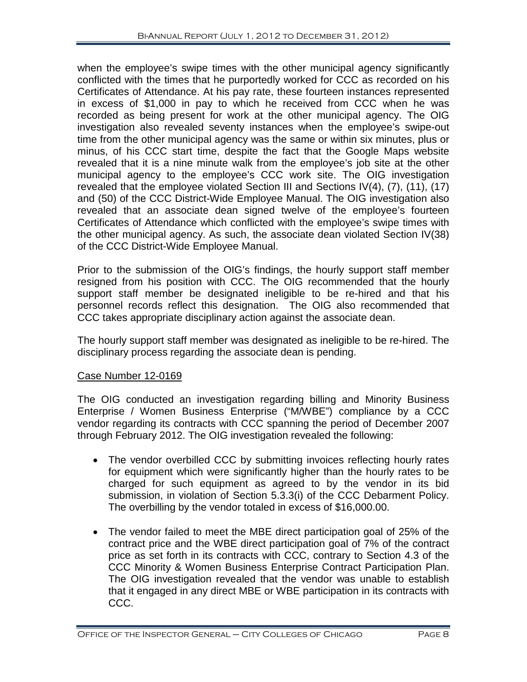when the employee's swipe times with the other municipal agency significantly conflicted with the times that he purportedly worked for CCC as recorded on his Certificates of Attendance. At his pay rate, these fourteen instances represented in excess of \$1,000 in pay to which he received from CCC when he was recorded as being present for work at the other municipal agency. The OIG investigation also revealed seventy instances when the employee's swipe-out time from the other municipal agency was the same or within six minutes, plus or minus, of his CCC start time, despite the fact that the Google Maps website revealed that it is a nine minute walk from the employee's job site at the other municipal agency to the employee's CCC work site. The OIG investigation revealed that the employee violated Section III and Sections IV(4), (7), (11), (17) and (50) of the CCC District-Wide Employee Manual. The OIG investigation also revealed that an associate dean signed twelve of the employee's fourteen Certificates of Attendance which conflicted with the employee's swipe times with the other municipal agency. As such, the associate dean violated Section IV(38) of the CCC District-Wide Employee Manual.

Prior to the submission of the OIG's findings, the hourly support staff member resigned from his position with CCC. The OIG recommended that the hourly support staff member be designated ineligible to be re-hired and that his personnel records reflect this designation. The OIG also recommended that CCC takes appropriate disciplinary action against the associate dean.

The hourly support staff member was designated as ineligible to be re-hired. The disciplinary process regarding the associate dean is pending.

# Case Number 12-0169

The OIG conducted an investigation regarding billing and Minority Business Enterprise / Women Business Enterprise ("M/WBE") compliance by a CCC vendor regarding its contracts with CCC spanning the period of December 2007 through February 2012. The OIG investigation revealed the following:

- The vendor overbilled CCC by submitting invoices reflecting hourly rates for equipment which were significantly higher than the hourly rates to be charged for such equipment as agreed to by the vendor in its bid submission, in violation of Section 5.3.3(i) of the CCC Debarment Policy. The overbilling by the vendor totaled in excess of \$16,000.00.
- The vendor failed to meet the MBE direct participation goal of 25% of the contract price and the WBE direct participation goal of 7% of the contract price as set forth in its contracts with CCC, contrary to Section 4.3 of the CCC Minority & Women Business Enterprise Contract Participation Plan. The OIG investigation revealed that the vendor was unable to establish that it engaged in any direct MBE or WBE participation in its contracts with CCC.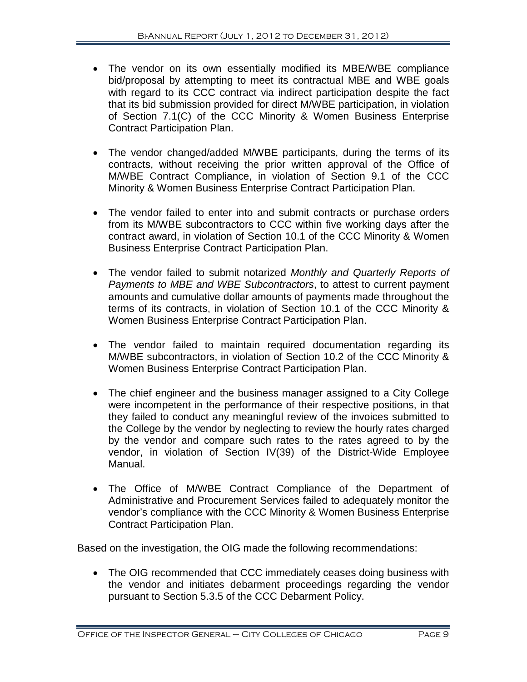- The vendor on its own essentially modified its MBE/WBE compliance bid/proposal by attempting to meet its contractual MBE and WBE goals with regard to its CCC contract via indirect participation despite the fact that its bid submission provided for direct M/WBE participation, in violation of Section 7.1(C) of the CCC Minority & Women Business Enterprise Contract Participation Plan.
- The vendor changed/added M/WBE participants, during the terms of its contracts, without receiving the prior written approval of the Office of M/WBE Contract Compliance, in violation of Section 9.1 of the CCC Minority & Women Business Enterprise Contract Participation Plan.
- The vendor failed to enter into and submit contracts or purchase orders from its M/WBE subcontractors to CCC within five working days after the contract award, in violation of Section 10.1 of the CCC Minority & Women Business Enterprise Contract Participation Plan.
- The vendor failed to submit notarized *Monthly and Quarterly Reports of Payments to MBE and WBE Subcontractors*, to attest to current payment amounts and cumulative dollar amounts of payments made throughout the terms of its contracts, in violation of Section 10.1 of the CCC Minority & Women Business Enterprise Contract Participation Plan.
- The vendor failed to maintain required documentation regarding its M/WBE subcontractors, in violation of Section 10.2 of the CCC Minority & Women Business Enterprise Contract Participation Plan.
- The chief engineer and the business manager assigned to a City College were incompetent in the performance of their respective positions, in that they failed to conduct any meaningful review of the invoices submitted to the College by the vendor by neglecting to review the hourly rates charged by the vendor and compare such rates to the rates agreed to by the vendor, in violation of Section IV(39) of the District-Wide Employee Manual.
- The Office of M/WBE Contract Compliance of the Department of Administrative and Procurement Services failed to adequately monitor the vendor's compliance with the CCC Minority & Women Business Enterprise Contract Participation Plan.

Based on the investigation, the OIG made the following recommendations:

• The OIG recommended that CCC immediately ceases doing business with the vendor and initiates debarment proceedings regarding the vendor pursuant to Section 5.3.5 of the CCC Debarment Policy.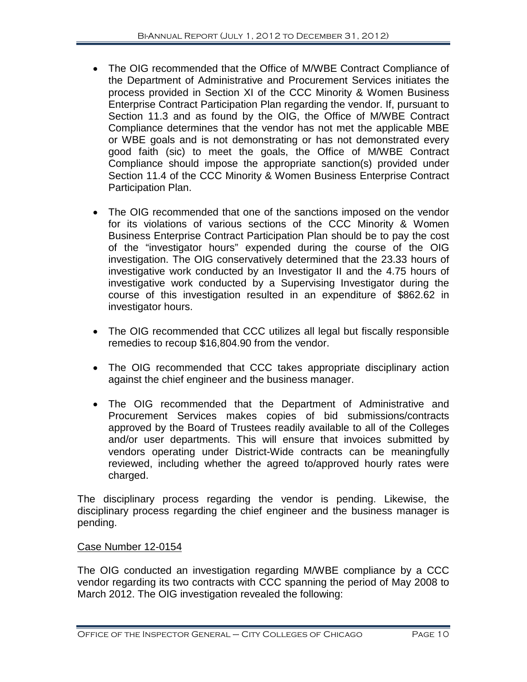- The OIG recommended that the Office of M/WBE Contract Compliance of the Department of Administrative and Procurement Services initiates the process provided in Section XI of the CCC Minority & Women Business Enterprise Contract Participation Plan regarding the vendor. If, pursuant to Section 11.3 and as found by the OIG, the Office of M/WBE Contract Compliance determines that the vendor has not met the applicable MBE or WBE goals and is not demonstrating or has not demonstrated every good faith (sic) to meet the goals, the Office of M/WBE Contract Compliance should impose the appropriate sanction(s) provided under Section 11.4 of the CCC Minority & Women Business Enterprise Contract Participation Plan.
- The OIG recommended that one of the sanctions imposed on the vendor for its violations of various sections of the CCC Minority & Women Business Enterprise Contract Participation Plan should be to pay the cost of the "investigator hours" expended during the course of the OIG investigation. The OIG conservatively determined that the 23.33 hours of investigative work conducted by an Investigator II and the 4.75 hours of investigative work conducted by a Supervising Investigator during the course of this investigation resulted in an expenditure of \$862.62 in investigator hours.
- The OIG recommended that CCC utilizes all legal but fiscally responsible remedies to recoup \$16,804.90 from the vendor.
- The OIG recommended that CCC takes appropriate disciplinary action against the chief engineer and the business manager.
- The OIG recommended that the Department of Administrative and Procurement Services makes copies of bid submissions/contracts approved by the Board of Trustees readily available to all of the Colleges and/or user departments. This will ensure that invoices submitted by vendors operating under District-Wide contracts can be meaningfully reviewed, including whether the agreed to/approved hourly rates were charged.

The disciplinary process regarding the vendor is pending. Likewise, the disciplinary process regarding the chief engineer and the business manager is pending.

# Case Number 12-0154

The OIG conducted an investigation regarding M/WBE compliance by a CCC vendor regarding its two contracts with CCC spanning the period of May 2008 to March 2012. The OIG investigation revealed the following: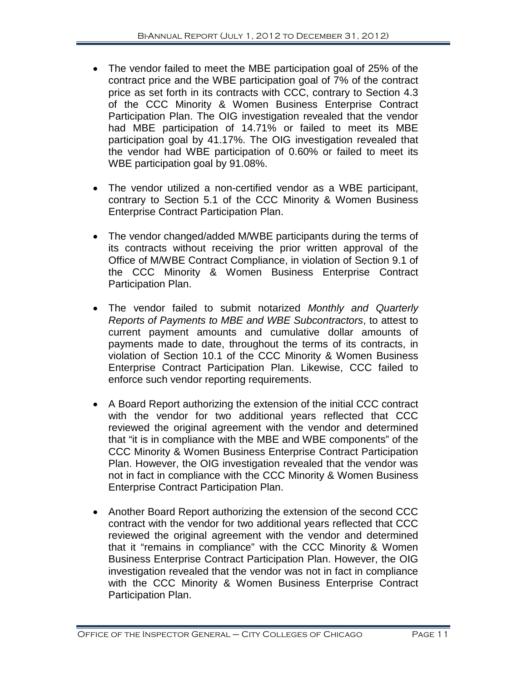- The vendor failed to meet the MBE participation goal of 25% of the contract price and the WBE participation goal of 7% of the contract price as set forth in its contracts with CCC, contrary to Section 4.3 of the CCC Minority & Women Business Enterprise Contract Participation Plan. The OIG investigation revealed that the vendor had MBE participation of 14.71% or failed to meet its MBE participation goal by 41.17%. The OIG investigation revealed that the vendor had WBE participation of 0.60% or failed to meet its WBE participation goal by 91.08%.
- The vendor utilized a non-certified vendor as a WBE participant, contrary to Section 5.1 of the CCC Minority & Women Business Enterprise Contract Participation Plan.
- The vendor changed/added M/WBE participants during the terms of its contracts without receiving the prior written approval of the Office of M/WBE Contract Compliance, in violation of Section 9.1 of the CCC Minority & Women Business Enterprise Contract Participation Plan.
- The vendor failed to submit notarized *Monthly and Quarterly Reports of Payments to MBE and WBE Subcontractors*, to attest to current payment amounts and cumulative dollar amounts of payments made to date, throughout the terms of its contracts, in violation of Section 10.1 of the CCC Minority & Women Business Enterprise Contract Participation Plan. Likewise, CCC failed to enforce such vendor reporting requirements.
- A Board Report authorizing the extension of the initial CCC contract with the vendor for two additional years reflected that CCC reviewed the original agreement with the vendor and determined that "it is in compliance with the MBE and WBE components" of the CCC Minority & Women Business Enterprise Contract Participation Plan. However, the OIG investigation revealed that the vendor was not in fact in compliance with the CCC Minority & Women Business Enterprise Contract Participation Plan.
- Another Board Report authorizing the extension of the second CCC contract with the vendor for two additional years reflected that CCC reviewed the original agreement with the vendor and determined that it "remains in compliance" with the CCC Minority & Women Business Enterprise Contract Participation Plan. However, the OIG investigation revealed that the vendor was not in fact in compliance with the CCC Minority & Women Business Enterprise Contract Participation Plan.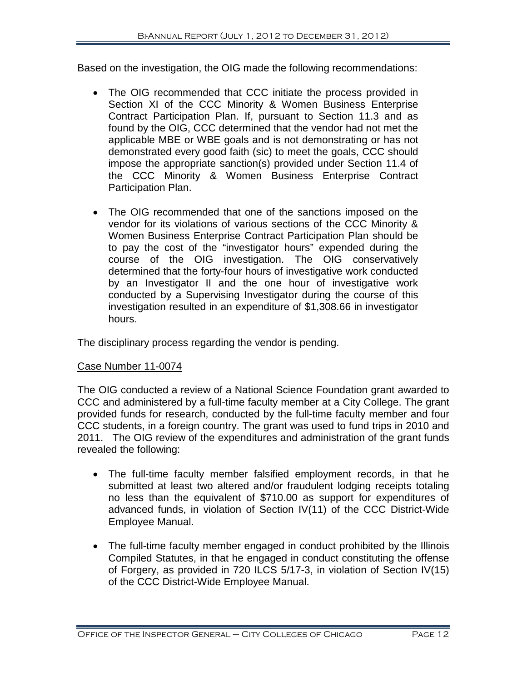Based on the investigation, the OIG made the following recommendations:

- The OIG recommended that CCC initiate the process provided in Section XI of the CCC Minority & Women Business Enterprise Contract Participation Plan. If, pursuant to Section 11.3 and as found by the OIG, CCC determined that the vendor had not met the applicable MBE or WBE goals and is not demonstrating or has not demonstrated every good faith (sic) to meet the goals, CCC should impose the appropriate sanction(s) provided under Section 11.4 of the CCC Minority & Women Business Enterprise Contract Participation Plan.
- The OIG recommended that one of the sanctions imposed on the vendor for its violations of various sections of the CCC Minority & Women Business Enterprise Contract Participation Plan should be to pay the cost of the "investigator hours" expended during the course of the OIG investigation. The OIG conservatively determined that the forty-four hours of investigative work conducted by an Investigator II and the one hour of investigative work conducted by a Supervising Investigator during the course of this investigation resulted in an expenditure of \$1,308.66 in investigator hours.

The disciplinary process regarding the vendor is pending.

# Case Number 11-0074

The OIG conducted a review of a National Science Foundation grant awarded to CCC and administered by a full-time faculty member at a City College. The grant provided funds for research, conducted by the full-time faculty member and four CCC students, in a foreign country. The grant was used to fund trips in 2010 and 2011. The OIG review of the expenditures and administration of the grant funds revealed the following:

- The full-time faculty member falsified employment records, in that he submitted at least two altered and/or fraudulent lodging receipts totaling no less than the equivalent of \$710.00 as support for expenditures of advanced funds, in violation of Section IV(11) of the CCC District-Wide Employee Manual.
- The full-time faculty member engaged in conduct prohibited by the Illinois Compiled Statutes, in that he engaged in conduct constituting the offense of Forgery, as provided in 720 ILCS 5/17-3, in violation of Section IV(15) of the CCC District-Wide Employee Manual.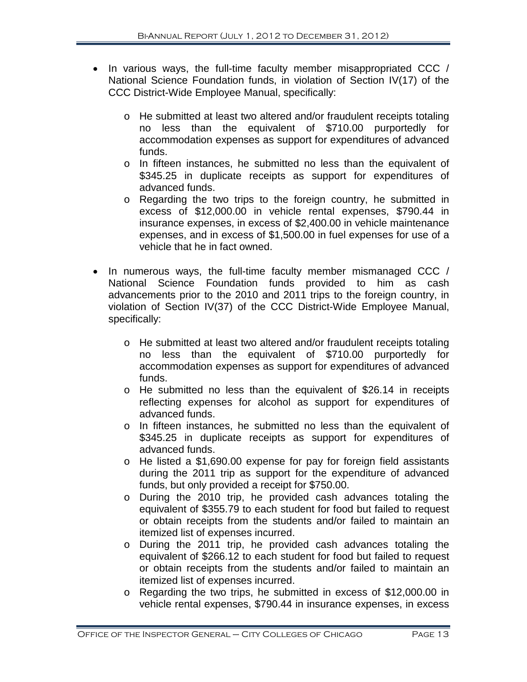- In various ways, the full-time faculty member misappropriated CCC / National Science Foundation funds, in violation of Section IV(17) of the CCC District-Wide Employee Manual, specifically:
	- o He submitted at least two altered and/or fraudulent receipts totaling no less than the equivalent of \$710.00 purportedly for accommodation expenses as support for expenditures of advanced funds.
	- o In fifteen instances, he submitted no less than the equivalent of \$345.25 in duplicate receipts as support for expenditures of advanced funds.
	- o Regarding the two trips to the foreign country, he submitted in excess of \$12,000.00 in vehicle rental expenses, \$790.44 in insurance expenses, in excess of \$2,400.00 in vehicle maintenance expenses, and in excess of \$1,500.00 in fuel expenses for use of a vehicle that he in fact owned.
- In numerous ways, the full-time faculty member mismanaged CCC / National Science Foundation funds provided to him as cash advancements prior to the 2010 and 2011 trips to the foreign country, in violation of Section IV(37) of the CCC District-Wide Employee Manual, specifically:
	- o He submitted at least two altered and/or fraudulent receipts totaling no less than the equivalent of \$710.00 purportedly for accommodation expenses as support for expenditures of advanced funds.
	- o He submitted no less than the equivalent of \$26.14 in receipts reflecting expenses for alcohol as support for expenditures of advanced funds.
	- o In fifteen instances, he submitted no less than the equivalent of \$345.25 in duplicate receipts as support for expenditures of advanced funds.
	- o He listed a \$1,690.00 expense for pay for foreign field assistants during the 2011 trip as support for the expenditure of advanced funds, but only provided a receipt for \$750.00.
	- o During the 2010 trip, he provided cash advances totaling the equivalent of \$355.79 to each student for food but failed to request or obtain receipts from the students and/or failed to maintain an itemized list of expenses incurred.
	- o During the 2011 trip, he provided cash advances totaling the equivalent of \$266.12 to each student for food but failed to request or obtain receipts from the students and/or failed to maintain an itemized list of expenses incurred.
	- o Regarding the two trips, he submitted in excess of \$12,000.00 in vehicle rental expenses, \$790.44 in insurance expenses, in excess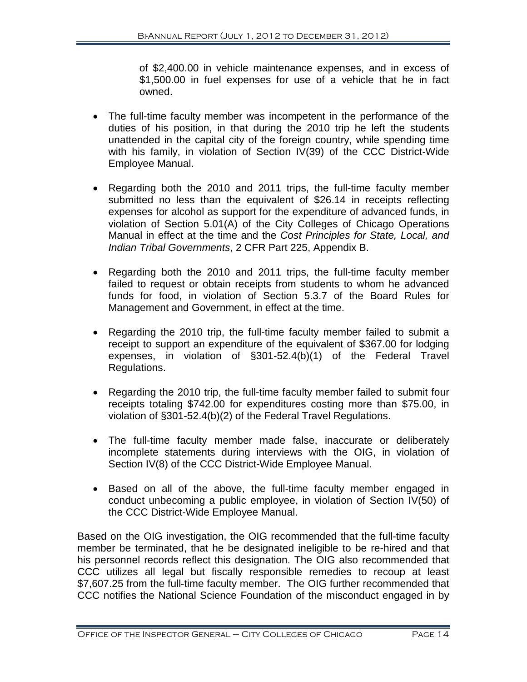of \$2,400.00 in vehicle maintenance expenses, and in excess of \$1,500.00 in fuel expenses for use of a vehicle that he in fact owned.

- The full-time faculty member was incompetent in the performance of the duties of his position, in that during the 2010 trip he left the students unattended in the capital city of the foreign country, while spending time with his family, in violation of Section IV(39) of the CCC District-Wide Employee Manual.
- Regarding both the 2010 and 2011 trips, the full-time faculty member submitted no less than the equivalent of \$26.14 in receipts reflecting expenses for alcohol as support for the expenditure of advanced funds, in violation of Section 5.01(A) of the City Colleges of Chicago Operations Manual in effect at the time and the *Cost Principles for State, Local, and Indian Tribal Governments*, 2 CFR Part 225, Appendix B.
- Regarding both the 2010 and 2011 trips, the full-time faculty member failed to request or obtain receipts from students to whom he advanced funds for food, in violation of Section 5.3.7 of the Board Rules for Management and Government, in effect at the time.
- Regarding the 2010 trip, the full-time faculty member failed to submit a receipt to support an expenditure of the equivalent of \$367.00 for lodging expenses, in violation of §301-52.4(b)(1) of the Federal Travel Regulations.
- Regarding the 2010 trip, the full-time faculty member failed to submit four receipts totaling \$742.00 for expenditures costing more than \$75.00, in violation of §301-52.4(b)(2) of the Federal Travel Regulations.
- The full-time faculty member made false, inaccurate or deliberately incomplete statements during interviews with the OIG, in violation of Section IV(8) of the CCC District-Wide Employee Manual.
- Based on all of the above, the full-time faculty member engaged in conduct unbecoming a public employee, in violation of Section IV(50) of the CCC District-Wide Employee Manual.

Based on the OIG investigation, the OIG recommended that the full-time faculty member be terminated, that he be designated ineligible to be re-hired and that his personnel records reflect this designation. The OIG also recommended that CCC utilizes all legal but fiscally responsible remedies to recoup at least \$7,607.25 from the full-time faculty member. The OIG further recommended that CCC notifies the National Science Foundation of the misconduct engaged in by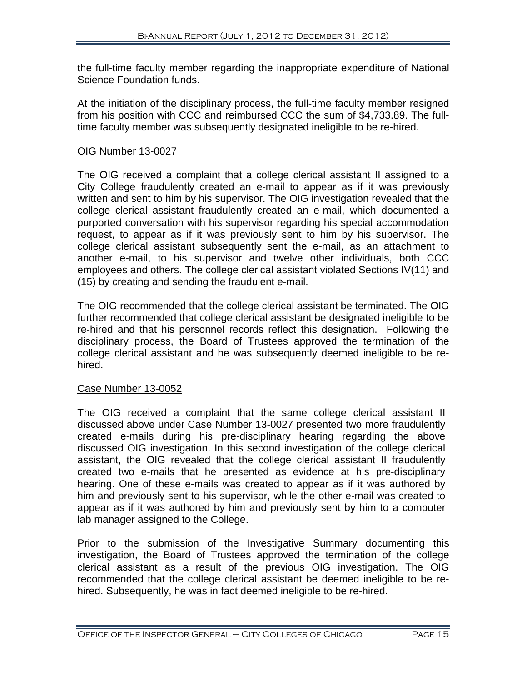the full-time faculty member regarding the inappropriate expenditure of National Science Foundation funds.

At the initiation of the disciplinary process, the full-time faculty member resigned from his position with CCC and reimbursed CCC the sum of \$4,733.89. The fulltime faculty member was subsequently designated ineligible to be re-hired.

#### OIG Number 13-0027

The OIG received a complaint that a college clerical assistant II assigned to a City College fraudulently created an e-mail to appear as if it was previously written and sent to him by his supervisor. The OIG investigation revealed that the college clerical assistant fraudulently created an e-mail, which documented a purported conversation with his supervisor regarding his special accommodation request, to appear as if it was previously sent to him by his supervisor. The college clerical assistant subsequently sent the e-mail, as an attachment to another e-mail, to his supervisor and twelve other individuals, both CCC employees and others. The college clerical assistant violated Sections IV(11) and (15) by creating and sending the fraudulent e-mail.

The OIG recommended that the college clerical assistant be terminated. The OIG further recommended that college clerical assistant be designated ineligible to be re-hired and that his personnel records reflect this designation. Following the disciplinary process, the Board of Trustees approved the termination of the college clerical assistant and he was subsequently deemed ineligible to be rehired.

#### Case Number 13-0052

The OIG received a complaint that the same college clerical assistant II discussed above under Case Number 13-0027 presented two more fraudulently created e-mails during his pre-disciplinary hearing regarding the above discussed OIG investigation. In this second investigation of the college clerical assistant, the OIG revealed that the college clerical assistant II fraudulently created two e-mails that he presented as evidence at his pre-disciplinary hearing. One of these e-mails was created to appear as if it was authored by him and previously sent to his supervisor, while the other e-mail was created to appear as if it was authored by him and previously sent by him to a computer lab manager assigned to the College.

Prior to the submission of the Investigative Summary documenting this investigation, the Board of Trustees approved the termination of the college clerical assistant as a result of the previous OIG investigation. The OIG recommended that the college clerical assistant be deemed ineligible to be rehired. Subsequently, he was in fact deemed ineligible to be re-hired.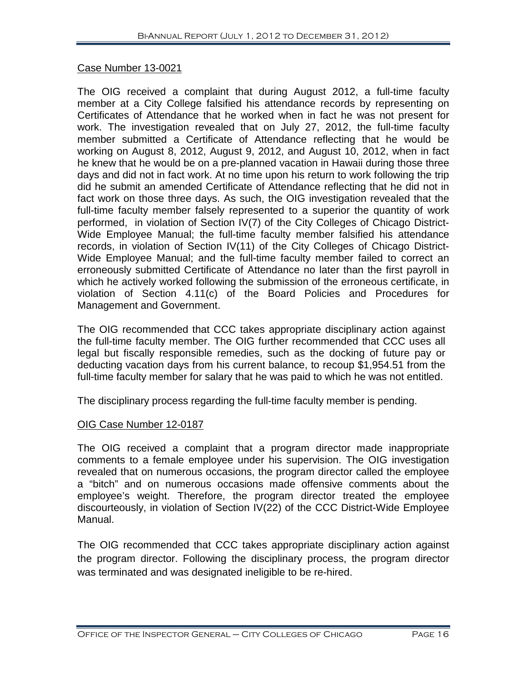#### Case Number 13-0021

The OIG received a complaint that during August 2012, a full-time faculty member at a City College falsified his attendance records by representing on Certificates of Attendance that he worked when in fact he was not present for work. The investigation revealed that on July 27, 2012, the full-time faculty member submitted a Certificate of Attendance reflecting that he would be working on August 8, 2012, August 9, 2012, and August 10, 2012, when in fact he knew that he would be on a pre-planned vacation in Hawaii during those three days and did not in fact work. At no time upon his return to work following the trip did he submit an amended Certificate of Attendance reflecting that he did not in fact work on those three days. As such, the OIG investigation revealed that the full-time faculty member falsely represented to a superior the quantity of work performed, in violation of Section IV(7) of the City Colleges of Chicago District-Wide Employee Manual; the full-time faculty member falsified his attendance records, in violation of Section IV(11) of the City Colleges of Chicago District-Wide Employee Manual; and the full-time faculty member failed to correct an erroneously submitted Certificate of Attendance no later than the first payroll in which he actively worked following the submission of the erroneous certificate, in violation of Section 4.11(c) of the Board Policies and Procedures for Management and Government.

The OIG recommended that CCC takes appropriate disciplinary action against the full-time faculty member. The OIG further recommended that CCC uses all legal but fiscally responsible remedies, such as the docking of future pay or deducting vacation days from his current balance, to recoup \$1,954.51 from the full-time faculty member for salary that he was paid to which he was not entitled.

The disciplinary process regarding the full-time faculty member is pending.

#### OIG Case Number 12-0187

The OIG received a complaint that a program director made inappropriate comments to a female employee under his supervision. The OIG investigation revealed that on numerous occasions, the program director called the employee a "bitch" and on numerous occasions made offensive comments about the employee's weight. Therefore, the program director treated the employee discourteously, in violation of Section IV(22) of the CCC District-Wide Employee Manual.

The OIG recommended that CCC takes appropriate disciplinary action against the program director. Following the disciplinary process, the program director was terminated and was designated ineligible to be re-hired.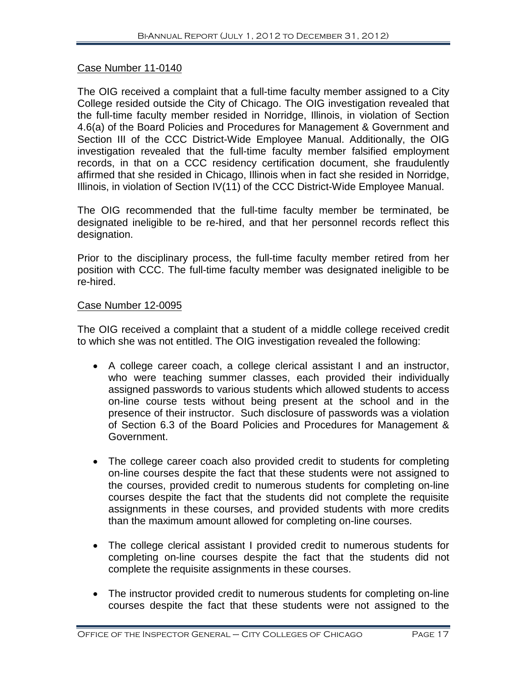#### Case Number 11-0140

The OIG received a complaint that a full-time faculty member assigned to a City College resided outside the City of Chicago. The OIG investigation revealed that the full-time faculty member resided in Norridge, Illinois, in violation of Section 4.6(a) of the Board Policies and Procedures for Management & Government and Section III of the CCC District-Wide Employee Manual. Additionally, the OIG investigation revealed that the full-time faculty member falsified employment records, in that on a CCC residency certification document, she fraudulently affirmed that she resided in Chicago, Illinois when in fact she resided in Norridge, Illinois, in violation of Section IV(11) of the CCC District-Wide Employee Manual.

The OIG recommended that the full-time faculty member be terminated, be designated ineligible to be re-hired, and that her personnel records reflect this designation.

Prior to the disciplinary process, the full-time faculty member retired from her position with CCC. The full-time faculty member was designated ineligible to be re-hired.

#### Case Number 12-0095

The OIG received a complaint that a student of a middle college received credit to which she was not entitled. The OIG investigation revealed the following:

- A college career coach, a college clerical assistant I and an instructor, who were teaching summer classes, each provided their individually assigned passwords to various students which allowed students to access on-line course tests without being present at the school and in the presence of their instructor. Such disclosure of passwords was a violation of Section 6.3 of the Board Policies and Procedures for Management & Government.
- The college career coach also provided credit to students for completing on-line courses despite the fact that these students were not assigned to the courses, provided credit to numerous students for completing on-line courses despite the fact that the students did not complete the requisite assignments in these courses, and provided students with more credits than the maximum amount allowed for completing on-line courses.
- The college clerical assistant I provided credit to numerous students for completing on-line courses despite the fact that the students did not complete the requisite assignments in these courses.
- The instructor provided credit to numerous students for completing on-line courses despite the fact that these students were not assigned to the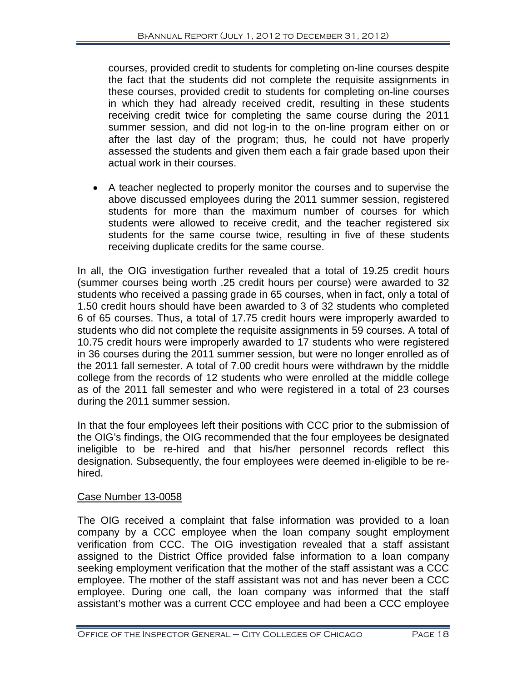courses, provided credit to students for completing on-line courses despite the fact that the students did not complete the requisite assignments in these courses, provided credit to students for completing on-line courses in which they had already received credit, resulting in these students receiving credit twice for completing the same course during the 2011 summer session, and did not log-in to the on-line program either on or after the last day of the program; thus, he could not have properly assessed the students and given them each a fair grade based upon their actual work in their courses.

• A teacher neglected to properly monitor the courses and to supervise the above discussed employees during the 2011 summer session, registered students for more than the maximum number of courses for which students were allowed to receive credit, and the teacher registered six students for the same course twice, resulting in five of these students receiving duplicate credits for the same course.

In all, the OIG investigation further revealed that a total of 19.25 credit hours (summer courses being worth .25 credit hours per course) were awarded to 32 students who received a passing grade in 65 courses, when in fact, only a total of 1.50 credit hours should have been awarded to 3 of 32 students who completed 6 of 65 courses. Thus, a total of 17.75 credit hours were improperly awarded to students who did not complete the requisite assignments in 59 courses. A total of 10.75 credit hours were improperly awarded to 17 students who were registered in 36 courses during the 2011 summer session, but were no longer enrolled as of the 2011 fall semester. A total of 7.00 credit hours were withdrawn by the middle college from the records of 12 students who were enrolled at the middle college as of the 2011 fall semester and who were registered in a total of 23 courses during the 2011 summer session.

In that the four employees left their positions with CCC prior to the submission of the OIG's findings, the OIG recommended that the four employees be designated ineligible to be re-hired and that his/her personnel records reflect this designation. Subsequently, the four employees were deemed in-eligible to be rehired.

# Case Number 13-0058

The OIG received a complaint that false information was provided to a loan company by a CCC employee when the loan company sought employment verification from CCC. The OIG investigation revealed that a staff assistant assigned to the District Office provided false information to a loan company seeking employment verification that the mother of the staff assistant was a CCC employee. The mother of the staff assistant was not and has never been a CCC employee. During one call, the loan company was informed that the staff assistant's mother was a current CCC employee and had been a CCC employee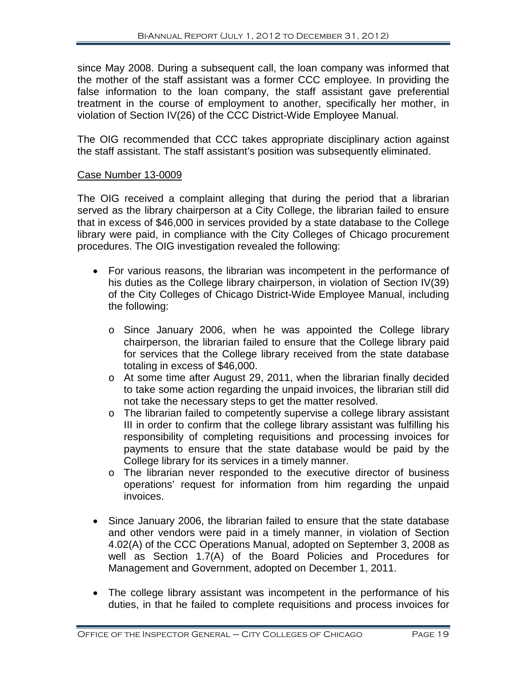since May 2008. During a subsequent call, the loan company was informed that the mother of the staff assistant was a former CCC employee. In providing the false information to the loan company, the staff assistant gave preferential treatment in the course of employment to another, specifically her mother, in violation of Section IV(26) of the CCC District-Wide Employee Manual.

The OIG recommended that CCC takes appropriate disciplinary action against the staff assistant. The staff assistant's position was subsequently eliminated.

#### Case Number 13-0009

The OIG received a complaint alleging that during the period that a librarian served as the library chairperson at a City College, the librarian failed to ensure that in excess of \$46,000 in services provided by a state database to the College library were paid, in compliance with the City Colleges of Chicago procurement procedures. The OIG investigation revealed the following:

- For various reasons, the librarian was incompetent in the performance of his duties as the College library chairperson, in violation of Section IV(39) of the City Colleges of Chicago District-Wide Employee Manual, including the following:
	- o Since January 2006, when he was appointed the College library chairperson, the librarian failed to ensure that the College library paid for services that the College library received from the state database totaling in excess of \$46,000.
	- o At some time after August 29, 2011, when the librarian finally decided to take some action regarding the unpaid invoices, the librarian still did not take the necessary steps to get the matter resolved.
	- o The librarian failed to competently supervise a college library assistant III in order to confirm that the college library assistant was fulfilling his responsibility of completing requisitions and processing invoices for payments to ensure that the state database would be paid by the College library for its services in a timely manner.
	- o The librarian never responded to the executive director of business operations' request for information from him regarding the unpaid invoices.
- Since January 2006, the librarian failed to ensure that the state database and other vendors were paid in a timely manner, in violation of Section 4.02(A) of the CCC Operations Manual, adopted on September 3, 2008 as well as Section 1.7(A) of the Board Policies and Procedures for Management and Government, adopted on December 1, 2011.
- The college library assistant was incompetent in the performance of his duties, in that he failed to complete requisitions and process invoices for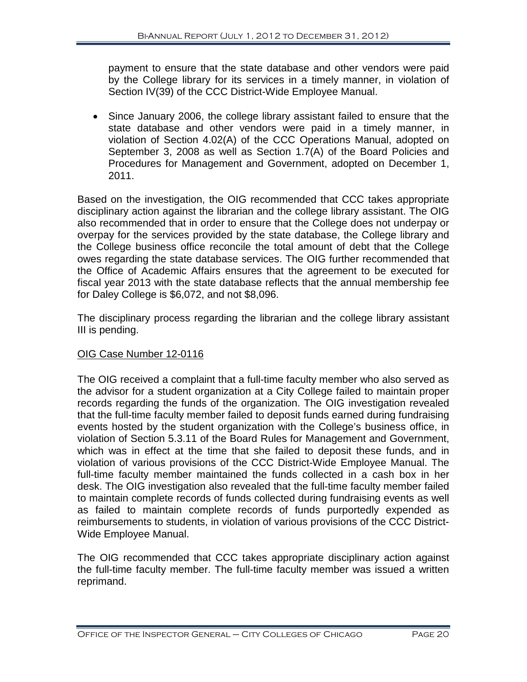payment to ensure that the state database and other vendors were paid by the College library for its services in a timely manner, in violation of Section IV(39) of the CCC District-Wide Employee Manual.

• Since January 2006, the college library assistant failed to ensure that the state database and other vendors were paid in a timely manner, in violation of Section 4.02(A) of the CCC Operations Manual, adopted on September 3, 2008 as well as Section 1.7(A) of the Board Policies and Procedures for Management and Government, adopted on December 1, 2011.

Based on the investigation, the OIG recommended that CCC takes appropriate disciplinary action against the librarian and the college library assistant. The OIG also recommended that in order to ensure that the College does not underpay or overpay for the services provided by the state database, the College library and the College business office reconcile the total amount of debt that the College owes regarding the state database services. The OIG further recommended that the Office of Academic Affairs ensures that the agreement to be executed for fiscal year 2013 with the state database reflects that the annual membership fee for Daley College is \$6,072, and not \$8,096.

The disciplinary process regarding the librarian and the college library assistant III is pending.

# OIG Case Number 12-0116

The OIG received a complaint that a full-time faculty member who also served as the advisor for a student organization at a City College failed to maintain proper records regarding the funds of the organization. The OIG investigation revealed that the full-time faculty member failed to deposit funds earned during fundraising events hosted by the student organization with the College's business office, in violation of Section 5.3.11 of the Board Rules for Management and Government, which was in effect at the time that she failed to deposit these funds, and in violation of various provisions of the CCC District-Wide Employee Manual. The full-time faculty member maintained the funds collected in a cash box in her desk. The OIG investigation also revealed that the full-time faculty member failed to maintain complete records of funds collected during fundraising events as well as failed to maintain complete records of funds purportedly expended as reimbursements to students, in violation of various provisions of the CCC District-Wide Employee Manual.

The OIG recommended that CCC takes appropriate disciplinary action against the full-time faculty member. The full-time faculty member was issued a written reprimand.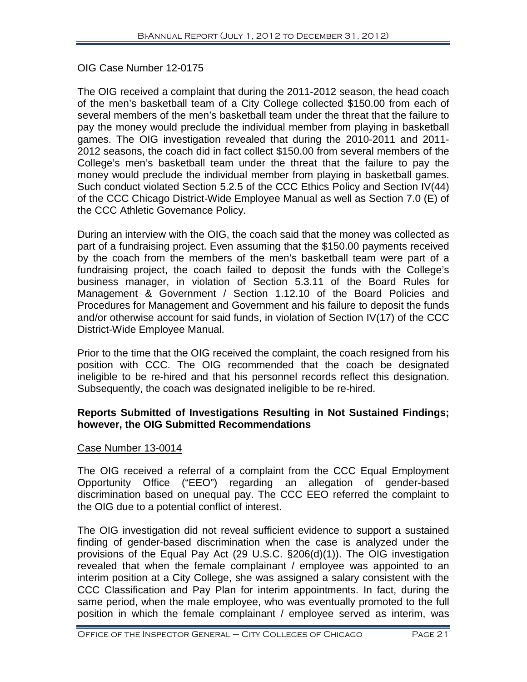# OIG Case Number 12-0175

The OIG received a complaint that during the 2011-2012 season, the head coach of the men's basketball team of a City College collected \$150.00 from each of several members of the men's basketball team under the threat that the failure to pay the money would preclude the individual member from playing in basketball games. The OIG investigation revealed that during the 2010-2011 and 2011- 2012 seasons, the coach did in fact collect \$150.00 from several members of the College's men's basketball team under the threat that the failure to pay the money would preclude the individual member from playing in basketball games. Such conduct violated Section 5.2.5 of the CCC Ethics Policy and Section IV(44) of the CCC Chicago District-Wide Employee Manual as well as Section 7.0 (E) of the CCC Athletic Governance Policy.

During an interview with the OIG, the coach said that the money was collected as part of a fundraising project. Even assuming that the \$150.00 payments received by the coach from the members of the men's basketball team were part of a fundraising project, the coach failed to deposit the funds with the College's business manager, in violation of Section 5.3.11 of the Board Rules for Management & Government / Section 1.12.10 of the Board Policies and Procedures for Management and Government and his failure to deposit the funds and/or otherwise account for said funds, in violation of Section IV(17) of the CCC District-Wide Employee Manual.

Prior to the time that the OIG received the complaint, the coach resigned from his position with CCC. The OIG recommended that the coach be designated ineligible to be re-hired and that his personnel records reflect this designation. Subsequently, the coach was designated ineligible to be re-hired.

### **Reports Submitted of Investigations Resulting in Not Sustained Findings; however, the OIG Submitted Recommendations**

# Case Number 13-0014

The OIG received a referral of a complaint from the CCC Equal Employment Opportunity Office ("EEO") regarding an allegation of gender-based discrimination based on unequal pay. The CCC EEO referred the complaint to the OIG due to a potential conflict of interest.

The OIG investigation did not reveal sufficient evidence to support a sustained finding of gender-based discrimination when the case is analyzed under the provisions of the Equal Pay Act (29 U.S.C. §206(d)(1)). The OIG investigation revealed that when the female complainant / employee was appointed to an interim position at a City College, she was assigned a salary consistent with the CCC Classification and Pay Plan for interim appointments. In fact, during the same period, when the male employee, who was eventually promoted to the full position in which the female complainant / employee served as interim, was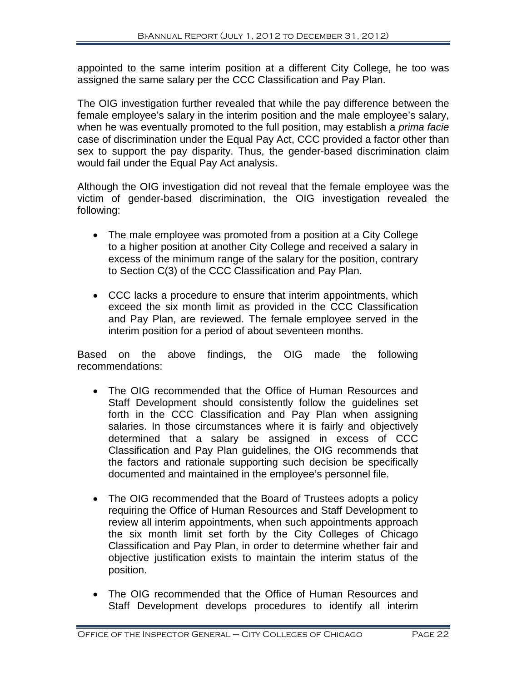appointed to the same interim position at a different City College, he too was assigned the same salary per the CCC Classification and Pay Plan.

The OIG investigation further revealed that while the pay difference between the female employee's salary in the interim position and the male employee's salary, when he was eventually promoted to the full position, may establish a *prima facie* case of discrimination under the Equal Pay Act, CCC provided a factor other than sex to support the pay disparity. Thus, the gender-based discrimination claim would fail under the Equal Pay Act analysis.

Although the OIG investigation did not reveal that the female employee was the victim of gender-based discrimination, the OIG investigation revealed the following:

- The male employee was promoted from a position at a City College to a higher position at another City College and received a salary in excess of the minimum range of the salary for the position, contrary to Section C(3) of the CCC Classification and Pay Plan.
- CCC lacks a procedure to ensure that interim appointments, which exceed the six month limit as provided in the CCC Classification and Pay Plan, are reviewed. The female employee served in the interim position for a period of about seventeen months.

Based on the above findings, the OIG made the following recommendations:

- The OIG recommended that the Office of Human Resources and Staff Development should consistently follow the guidelines set forth in the CCC Classification and Pay Plan when assigning salaries. In those circumstances where it is fairly and objectively determined that a salary be assigned in excess of CCC Classification and Pay Plan guidelines, the OIG recommends that the factors and rationale supporting such decision be specifically documented and maintained in the employee's personnel file.
- The OIG recommended that the Board of Trustees adopts a policy requiring the Office of Human Resources and Staff Development to review all interim appointments, when such appointments approach the six month limit set forth by the City Colleges of Chicago Classification and Pay Plan, in order to determine whether fair and objective justification exists to maintain the interim status of the position.
- The OIG recommended that the Office of Human Resources and Staff Development develops procedures to identify all interim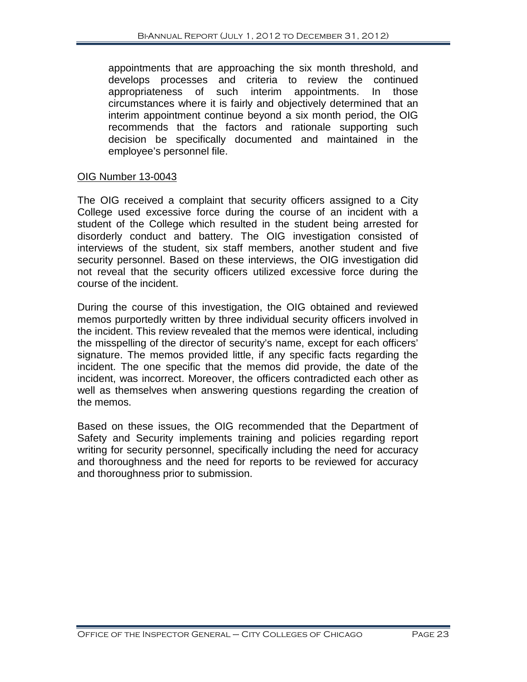appointments that are approaching the six month threshold, and develops processes and criteria to review the continued appropriateness of such interim appointments. In those circumstances where it is fairly and objectively determined that an interim appointment continue beyond a six month period, the OIG recommends that the factors and rationale supporting such decision be specifically documented and maintained in the employee's personnel file.

#### OIG Number 13-0043

The OIG received a complaint that security officers assigned to a City College used excessive force during the course of an incident with a student of the College which resulted in the student being arrested for disorderly conduct and battery. The OIG investigation consisted of interviews of the student, six staff members, another student and five security personnel. Based on these interviews, the OIG investigation did not reveal that the security officers utilized excessive force during the course of the incident.

During the course of this investigation, the OIG obtained and reviewed memos purportedly written by three individual security officers involved in the incident. This review revealed that the memos were identical, including the misspelling of the director of security's name, except for each officers' signature. The memos provided little, if any specific facts regarding the incident. The one specific that the memos did provide, the date of the incident, was incorrect. Moreover, the officers contradicted each other as well as themselves when answering questions regarding the creation of the memos.

Based on these issues, the OIG recommended that the Department of Safety and Security implements training and policies regarding report writing for security personnel, specifically including the need for accuracy and thoroughness and the need for reports to be reviewed for accuracy and thoroughness prior to submission.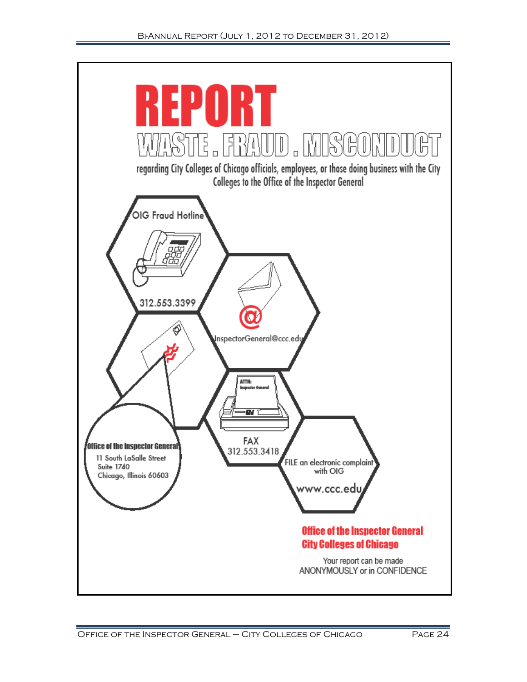